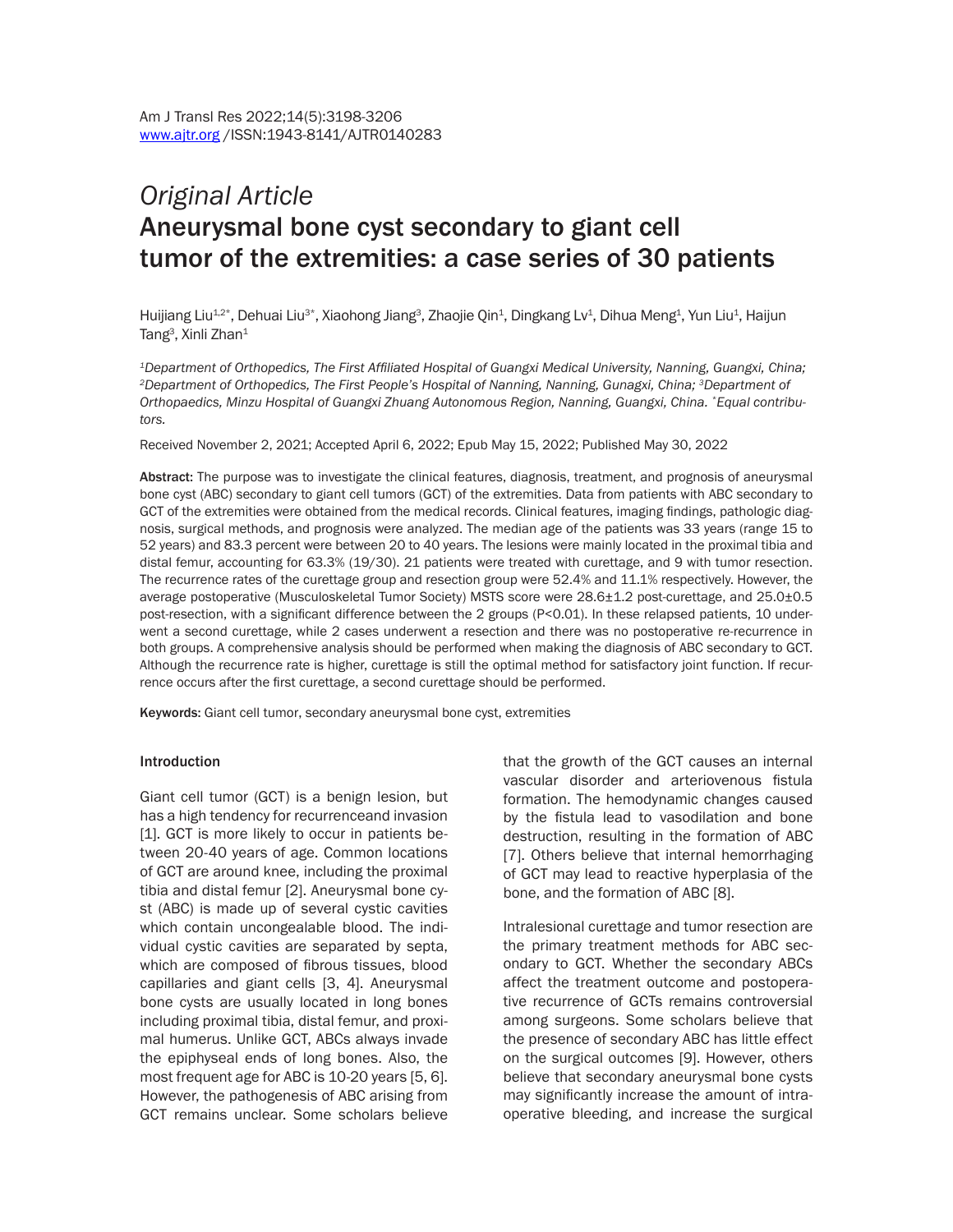# *Original Article* Aneurysmal bone cyst secondary to giant cell tumor of the extremities: a case series of 30 patients

Huijiang Liu $^{12^{\ast}},$  Dehuai Liu $^{3^{\ast}},$  Xiaohong Jiang $^3$ , Zhaojie Qin $^4$ , Dingkang Lv $^4$ , Dihua Meng $^4$ , Yun Liu $^4$ , Haijun Tang $^3$ , Xinli Zhan $^1$ 

*<sup>1</sup>Department of Orthopedics, The First Affiliated Hospital of Guangxi Medical University, Nanning, Guangxi, China; <sup>2</sup>Department of Orthopedics, The First People's Hospital of Nanning, Nanning, Gunagxi, China; 3Department of Orthopaedics, Minzu Hospital of Guangxi Zhuang Autonomous Region, Nanning, Guangxi, China. \*Equal contributors.*

Received November 2, 2021; Accepted April 6, 2022; Epub May 15, 2022; Published May 30, 2022

Abstract: The purpose was to investigate the clinical features, diagnosis, treatment, and prognosis of aneurysmal bone cyst (ABC) secondary to giant cell tumors (GCT) of the extremities. Data from patients with ABC secondary to GCT of the extremities were obtained from the medical records. Clinical features, imaging findings, pathologic diagnosis, surgical methods, and prognosis were analyzed. The median age of the patients was 33 years (range 15 to 52 years) and 83.3 percent were between 20 to 40 years. The lesions were mainly located in the proximal tibia and distal femur, accounting for 63.3% (19/30). 21 patients were treated with curettage, and 9 with tumor resection. The recurrence rates of the curettage group and resection group were 52.4% and 11.1% respectively. However, the average postoperative (Musculoskeletal Tumor Society) MSTS score were 28.6±1.2 post-curettage, and 25.0±0.5 post-resection, with a significant difference between the 2 groups (P<0.01). In these relapsed patients, 10 underwent a second curettage, while 2 cases underwent a resection and there was no postoperative re-recurrence in both groups. A comprehensive analysis should be performed when making the diagnosis of ABC secondary to GCT. Although the recurrence rate is higher, curettage is still the optimal method for satisfactory joint function. If recurrence occurs after the first curettage, a second curettage should be performed.

Keywords: Giant cell tumor, secondary aneurysmal bone cyst, extremities

#### Introduction

Giant cell tumor (GCT) is a benign lesion, but has a high tendency for recurrenceand invasion [1]. GCT is more likely to occur in patients between 20-40 years of age. Common locations of GCT are around knee, including the proximal tibia and distal femur [2]. Aneurysmal bone cyst (ABC) is made up of several cystic cavities which contain uncongealable blood. The individual cystic cavities are separated by septa, which are composed of fibrous tissues, blood capillaries and giant cells [3, 4]. Aneurysmal bone cysts are usually located in long bones including proximal tibia, distal femur, and proximal humerus. Unlike GCT, ABCs always invade the epiphyseal ends of long bones. Also, the most frequent age for ABC is 10-20 years [5, 6]. However, the pathogenesis of ABC arising from GCT remains unclear. Some scholars believe that the growth of the GCT causes an internal vascular disorder and arteriovenous fistula formation. The hemodynamic changes caused by the fistula lead to vasodilation and bone destruction, resulting in the formation of ABC [7]. Others believe that internal hemorrhaging of GCT may lead to reactive hyperplasia of the bone, and the formation of ABC [8].

Intralesional curettage and tumor resection are the primary treatment methods for ABC secondary to GCT. Whether the secondary ABCs affect the treatment outcome and postoperative recurrence of GCTs remains controversial among surgeons. Some scholars believe that the presence of secondary ABC has little effect on the surgical outcomes [9]. However, others believe that secondary aneurysmal bone cysts may significantly increase the amount of intraoperative bleeding, and increase the surgical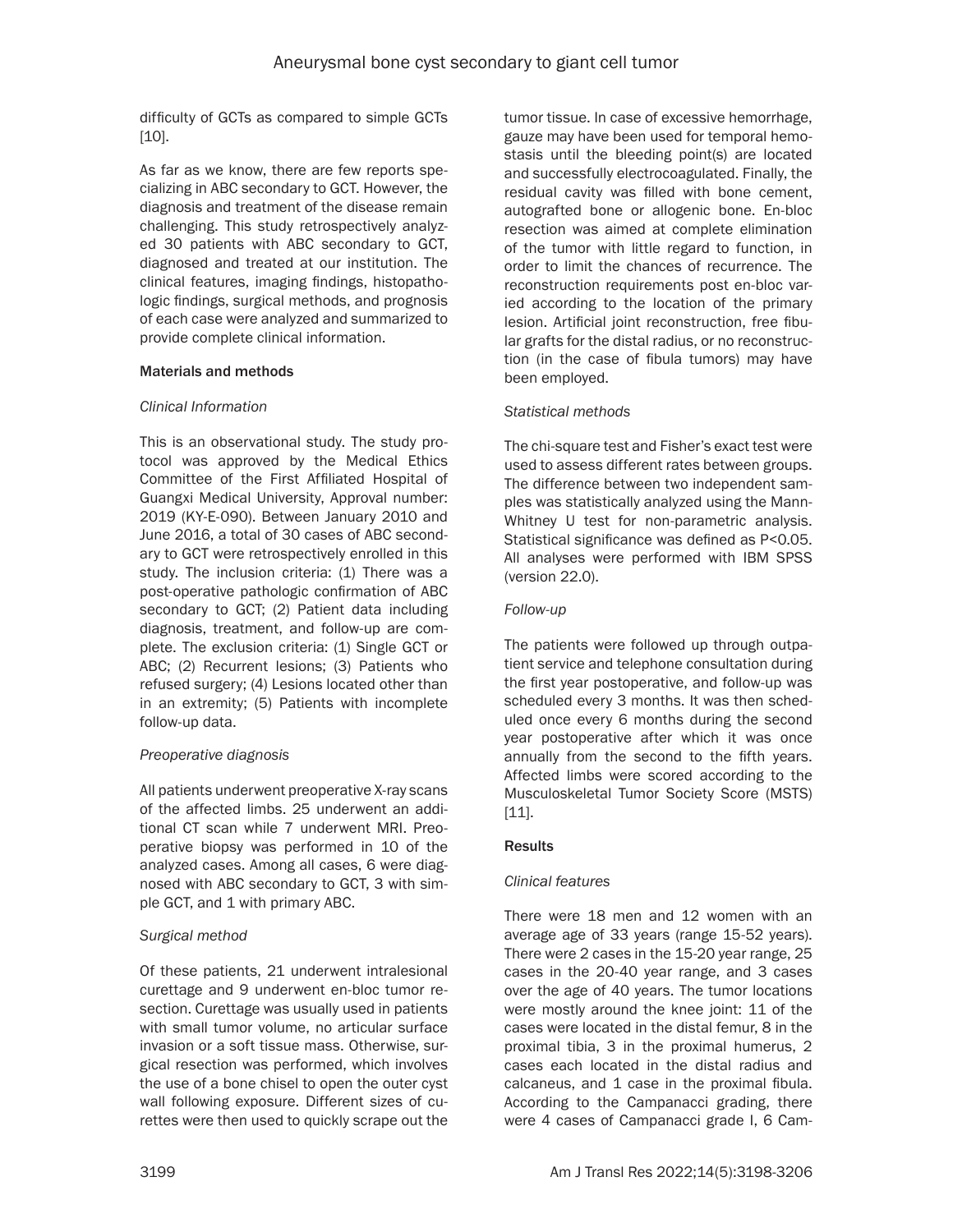difficulty of GCTs as compared to simple GCTs [10].

As far as we know, there are few reports specializing in ABC secondary to GCT. However, the diagnosis and treatment of the disease remain challenging. This study retrospectively analyzed 30 patients with ABC secondary to GCT, diagnosed and treated at our institution. The clinical features, imaging findings, histopathologic findings, surgical methods, and prognosis of each case were analyzed and summarized to provide complete clinical information.

## Materials and methods

## *Clinical Information*

This is an observational study. The study protocol was approved by the Medical Ethics Committee of the First Affiliated Hospital of Guangxi Medical University, Approval number: 2019 (KY-E-090). Between January 2010 and June 2016, a total of 30 cases of ABC secondary to GCT were retrospectively enrolled in this study. The inclusion criteria: (1) There was a post-operative pathologic confirmation of ABC secondary to GCT; (2) Patient data including diagnosis, treatment, and follow-up are complete. The exclusion criteria: (1) Single GCT or ABC; (2) Recurrent lesions; (3) Patients who refused surgery; (4) Lesions located other than in an extremity; (5) Patients with incomplete follow-up data.

# *Preoperative diagnosis*

All patients underwent preoperative X-ray scans of the affected limbs. 25 underwent an additional CT scan while 7 underwent MRI. Preoperative biopsy was performed in 10 of the analyzed cases. Among all cases, 6 were diagnosed with ABC secondary to GCT, 3 with simple GCT, and 1 with primary ABC.

# *Surgical method*

Of these patients, 21 underwent intralesional curettage and 9 underwent en-bloc tumor resection. Curettage was usually used in patients with small tumor volume, no articular surface invasion or a soft tissue mass. Otherwise, surgical resection was performed, which involves the use of a bone chisel to open the outer cyst wall following exposure. Different sizes of curettes were then used to quickly scrape out the

tumor tissue. In case of excessive hemorrhage, gauze may have been used for temporal hemostasis until the bleeding point(s) are located and successfully electrocoagulated. Finally, the residual cavity was filled with bone cement, autografted bone or allogenic bone. En-bloc resection was aimed at complete elimination of the tumor with little regard to function, in order to limit the chances of recurrence. The reconstruction requirements post en-bloc varied according to the location of the primary lesion. Artificial joint reconstruction, free fibular grafts for the distal radius, or no reconstruction (in the case of fibula tumors) may have been employed.

## *Statistical methods*

The chi-square test and Fisher's exact test were used to assess different rates between groups. The difference between two independent samples was statistically analyzed using the Mann-Whitney U test for non-parametric analysis. Statistical significance was defined as P<0.05. All analyses were performed with IBM SPSS (version 22.0).

## *Follow-up*

The patients were followed up through outpatient service and telephone consultation during the first year postoperative, and follow-up was scheduled every 3 months. It was then scheduled once every 6 months during the second year postoperative after which it was once annually from the second to the fifth years. Affected limbs were scored according to the Musculoskeletal Tumor Society Score (MSTS) [11].

# **Results**

# *Clinical features*

There were 18 men and 12 women with an average age of 33 years (range 15-52 years). There were 2 cases in the 15-20 year range, 25 cases in the 20-40 year range, and 3 cases over the age of 40 years. The tumor locations were mostly around the knee joint: 11 of the cases were located in the distal femur, 8 in the proximal tibia, 3 in the proximal humerus, 2 cases each located in the distal radius and calcaneus, and 1 case in the proximal fibula. According to the Campanacci grading, there were 4 cases of Campanacci grade I, 6 Cam-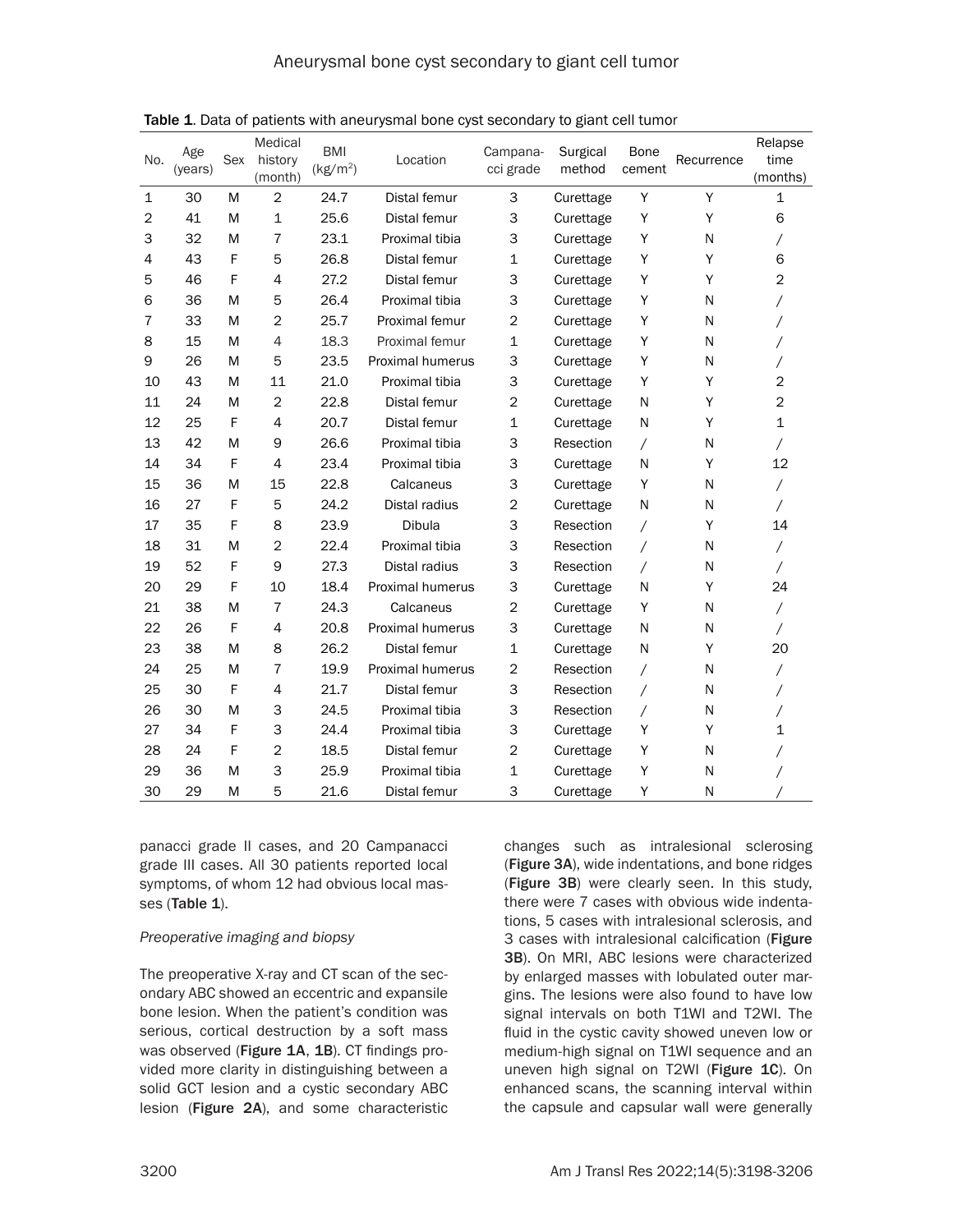| No.            | Age<br>(years) | <b>Sex</b> | Medical<br>history<br>(month) | <b>BMI</b><br>(kg/m <sup>2</sup> ) | Location         | Campana-<br>cci grade | Surgical<br>method | <b>Bone</b><br>cement | Recurrence | Relapse<br>time<br>(months) |
|----------------|----------------|------------|-------------------------------|------------------------------------|------------------|-----------------------|--------------------|-----------------------|------------|-----------------------------|
| $\mathbf{1}$   | 30             | M          | $\overline{c}$                | 24.7                               | Distal femur     | 3                     | Curettage          | Y                     | Y          | $\mathbf 1$                 |
| $\overline{2}$ | 41             | M          | $\mathbf{1}$                  | 25.6                               | Distal femur     | 3                     | Curettage          | Y                     | Y          | 6                           |
| 3              | 32             | M          | 7                             | 23.1                               | Proximal tibia   | 3                     | Curettage          | Υ                     | N          | Γ                           |
| 4              | 43             | F          | 5                             | 26.8                               | Distal femur     | 1                     | Curettage          | Υ                     | Y          | 6                           |
| 5              | 46             | F          | 4                             | 27.2                               | Distal femur     | 3                     | Curettage          | Υ                     | Y          | $\overline{2}$              |
| 6              | 36             | M          | 5                             | 26.4                               | Proximal tibia   | 3                     | Curettage          | Υ                     | N          |                             |
| 7              | 33             | M          | $\overline{2}$                | 25.7                               | Proximal femur   | 2                     | Curettage          | Υ                     | N          |                             |
| 8              | 15             | M          | 4                             | 18.3                               | Proximal femur   | 1                     | Curettage          | Υ                     | N          |                             |
| 9              | 26             | M          | 5                             | 23.5                               | Proximal humerus | 3                     | Curettage          | Υ                     | N          |                             |
| 10             | 43             | M          | 11                            | 21.0                               | Proximal tibia   | 3                     | Curettage          | Υ                     | Y          | $\overline{2}$              |
| 11             | 24             | M          | $\overline{2}$                | 22.8                               | Distal femur     | $\overline{2}$        | Curettage          | N                     | Y          | $\overline{2}$              |
| 12             | 25             | F          | 4                             | 20.7                               | Distal femur     | 1                     | Curettage          | N                     | Y          | $\mathbf 1$                 |
| 13             | 42             | M          | 9                             | 26.6                               | Proximal tibia   | 3                     | Resection          | $\prime$              | N          |                             |
| 14             | 34             | F          | 4                             | 23.4                               | Proximal tibia   | 3                     | Curettage          | N                     | Υ          | 12                          |
| 15             | 36             | M          | 15                            | 22.8                               | Calcaneus        | 3                     | Curettage          | Υ                     | N          | Γ                           |
| 16             | 27             | F          | 5                             | 24.2                               | Distal radius    | $\overline{2}$        | Curettage          | N                     | N          | Τ                           |
| 17             | 35             | F          | 8                             | 23.9                               | Dibula           | 3                     | Resection          | Τ                     | Y          | 14                          |
| 18             | 31             | M          | 2                             | 22.4                               | Proximal tibia   | 3                     | Resection          | /                     | N          | Γ                           |
| 19             | 52             | F          | 9                             | 27.3                               | Distal radius    | 3                     | Resection          | $\prime$              | N          |                             |
| 20             | 29             | F          | 10                            | 18.4                               | Proximal humerus | 3                     | Curettage          | N                     | Υ          | 24                          |
| 21             | 38             | M          | 7                             | 24.3                               | Calcaneus        | 2                     | Curettage          | Υ                     | N          | $\sqrt{2}$                  |
| 22             | 26             | F          | 4                             | 20.8                               | Proximal humerus | 3                     | Curettage          | N                     | N          |                             |
| 23             | 38             | M          | 8                             | 26.2                               | Distal femur     | 1                     | Curettage          | N                     | Y          | 20                          |
| 24             | 25             | M          | 7                             | 19.9                               | Proximal humerus | 2                     | Resection          | Τ                     | N          |                             |
| 25             | 30             | F          | 4                             | 21.7                               | Distal femur     | 3                     | Resection          | Τ                     | N          |                             |
| 26             | 30             | M          | 3                             | 24.5                               | Proximal tibia   | 3                     | Resection          | $\prime$              | N          |                             |
| 27             | 34             | F          | 3                             | 24.4                               | Proximal tibia   | 3                     | Curettage          | Υ                     | Y          | 1                           |
| 28             | 24             | F          | $\overline{2}$                | 18.5                               | Distal femur     | 2                     | Curettage          | Y                     | N          |                             |
| 29             | 36             | M          | 3                             | 25.9                               | Proximal tibia   | 1                     | Curettage          | Υ                     | N          |                             |
| 30             | 29             | M          | 5                             | 21.6                               | Distal femur     | 3                     | Curettage          | Υ                     | N          |                             |

Table 1. Data of patients with aneurysmal bone cyst secondary to giant cell tumor

panacci grade II cases, and 20 Campanacci grade III cases. All 30 patients reported local symptoms, of whom 12 had obvious local masses (Table 1).

## *Preoperative imaging and biopsy*

The preoperative X-ray and CT scan of the secondary ABC showed an eccentric and expansile bone lesion. When the patient's condition was serious, cortical destruction by a soft mass was observed (Figure 1A, 1B). CT findings provided more clarity in distinguishing between a solid GCT lesion and a cystic secondary ABC lesion (Figure 2A), and some characteristic

changes such as intralesional sclerosing (Figure 3A), wide indentations, and bone ridges (Figure 3B) were clearly seen. In this study, there were 7 cases with obvious wide indentations, 5 cases with intralesional sclerosis, and 3 cases with intralesional calcification (Figure 3B). On MRI, ABC lesions were characterized by enlarged masses with lobulated outer margins. The lesions were also found to have low signal intervals on both T1WI and T2WI. The fluid in the cystic cavity showed uneven low or medium-high signal on T1WI sequence and an uneven high signal on T2WI (Figure 1C). On enhanced scans, the scanning interval within the capsule and capsular wall were generally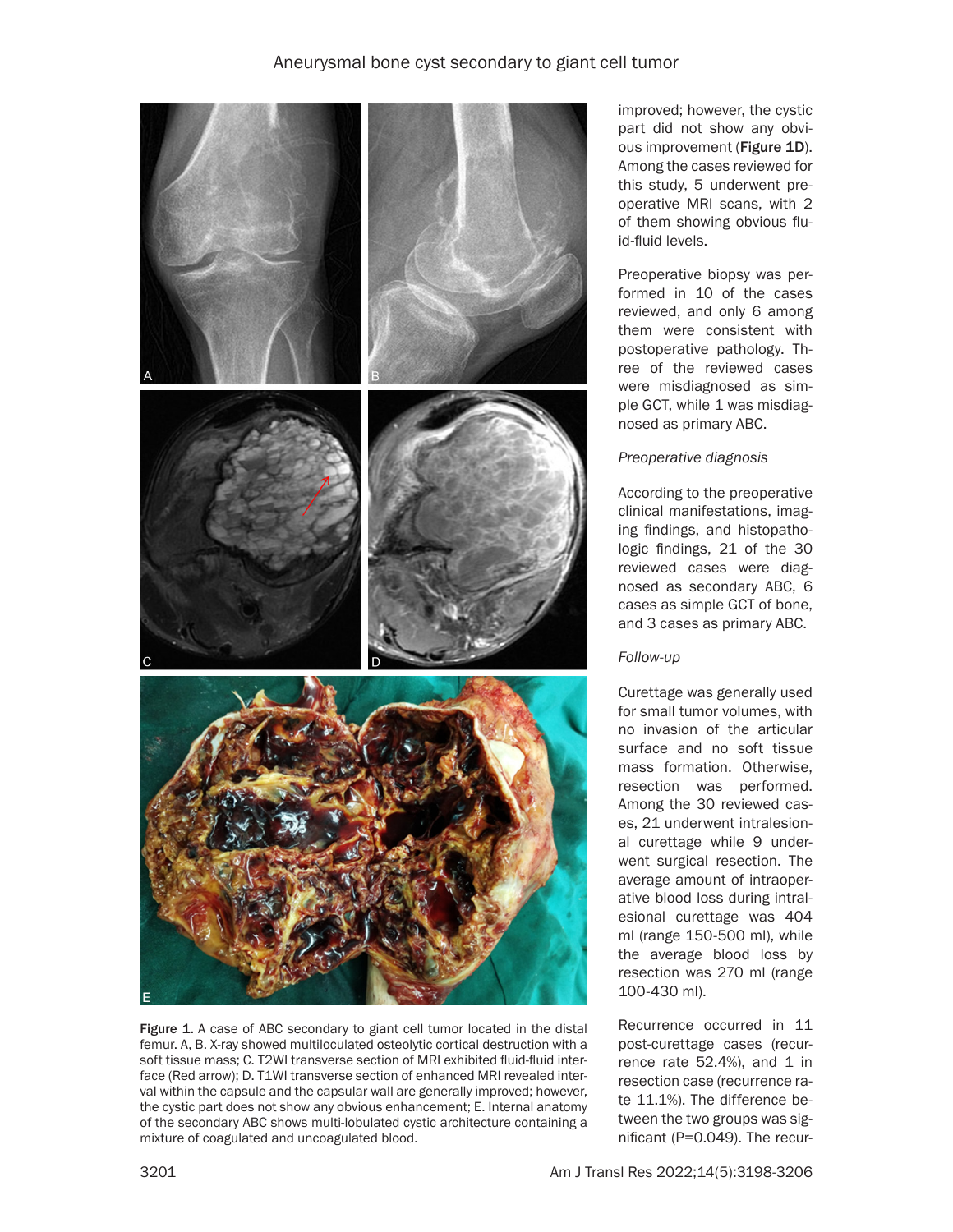

Figure 1. A case of ABC secondary to giant cell tumor located in the distal femur. A, B. X-ray showed multiloculated osteolytic cortical destruction with a soft tissue mass; C. T2WI transverse section of MRI exhibited fluid-fluid interface (Red arrow); D. T1WI transverse section of enhanced MRI revealed interval within the capsule and the capsular wall are generally improved; however, the cystic part does not show any obvious enhancement; E. Internal anatomy of the secondary ABC shows multi-lobulated cystic architecture containing a mixture of coagulated and uncoagulated blood.

improved; however, the cystic part did not show any obvious improvement (Figure 1D). Among the cases reviewed for this study, 5 underwent preoperative MRI scans, with 2 of them showing obvious fluid-fluid levels.

Preoperative biopsy was performed in 10 of the cases reviewed, and only 6 among them were consistent with postoperative pathology. Three of the reviewed cases were misdiagnosed as simple GCT, while 1 was misdiagnosed as primary ABC.

## *Preoperative diagnosis*

According to the preoperative clinical manifestations, imaging findings, and histopathologic findings, 21 of the 30 reviewed cases were diagnosed as secondary ABC, 6 cases as simple GCT of bone, and 3 cases as primary ABC.

# *Follow-up*

Curettage was generally used for small tumor volumes, with no invasion of the articular surface and no soft tissue mass formation. Otherwise, resection was performed. Among the 30 reviewed cases, 21 underwent intralesional curettage while 9 underwent surgical resection. The average amount of intraoperative blood loss during intralesional curettage was 404 ml (range 150-500 ml), while the average blood loss by resection was 270 ml (range 100-430 ml).

Recurrence occurred in 11 post-curettage cases (recurrence rate  $52.4%$ ), and 1 in resection case (recurrence rate 11.1%). The difference between the two groups was significant (P=0.049). The recur-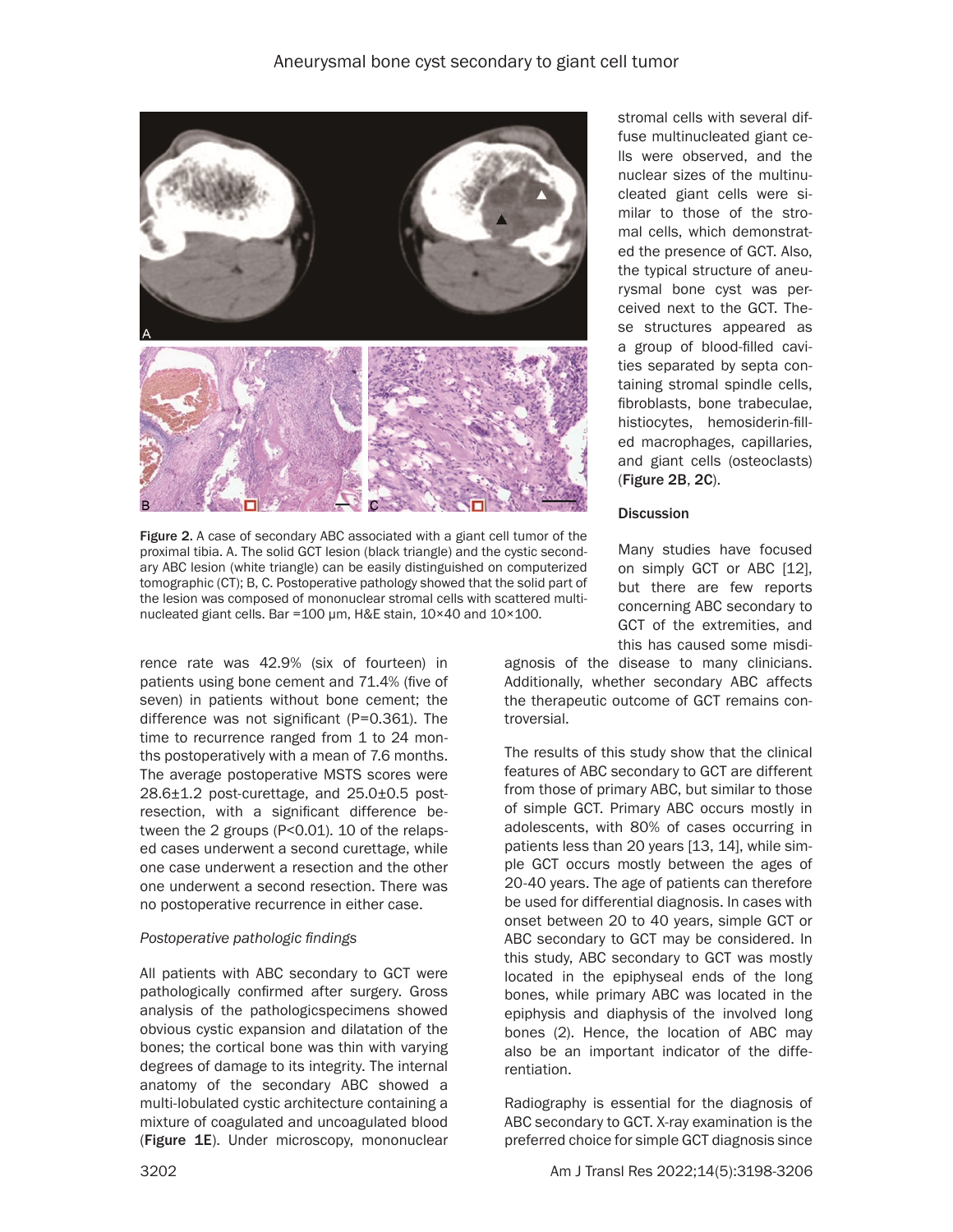

Figure 2. A case of secondary ABC associated with a giant cell tumor of the proximal tibia. A. The solid GCT lesion (black triangle) and the cystic secondary ABC lesion (white triangle) can be easily distinguished on computerized tomographic (CT); B, C. Postoperative pathology showed that the solid part of the lesion was composed of mononuclear stromal cells with scattered multinucleated giant cells. Bar =100 μm, H&E stain, 10×40 and 10×100.

rence rate was 42.9% (six of fourteen) in patients using bone cement and 71.4% (five of seven) in patients without bone cement; the difference was not significant (P=0.361). The time to recurrence ranged from 1 to 24 months postoperatively with a mean of 7.6 months. The average postoperative MSTS scores were 28.6±1.2 post-curettage, and 25.0±0.5 postresection, with a significant difference between the 2 groups (P<0.01). 10 of the relapsed cases underwent a second curettage, while one case underwent a resection and the other one underwent a second resection. There was no postoperative recurrence in either case.

## *Postoperative pathologic findings*

All patients with ABC secondary to GCT were pathologically confirmed after surgery. Gross analysis of the pathologicspecimens showed obvious cystic expansion and dilatation of the bones; the cortical bone was thin with varying degrees of damage to its integrity. The internal anatomy of the secondary ABC showed a multi-lobulated cystic architecture containing a mixture of coagulated and uncoagulated blood (Figure 1E). Under microscopy, mononuclear

stromal cells with several diffuse multinucleated giant cells were observed, and the nuclear sizes of the multinucleated giant cells were similar to those of the stromal cells, which demonstrated the presence of GCT. Also, the typical structure of aneurysmal bone cyst was perceived next to the GCT. These structures appeared as a group of blood-filled cavities separated by septa containing stromal spindle cells, fibroblasts, bone trabeculae, histiocytes, hemosiderin-filled macrophages, capillaries, and giant cells (osteoclasts) (Figure 2B, 2C).

#### **Discussion**

Many studies have focused on simply GCT or ABC [12], but there are few reports concerning ABC secondary to GCT of the extremities, and this has caused some misdi-

agnosis of the disease to many clinicians. Additionally, whether secondary ABC affects the therapeutic outcome of GCT remains controversial.

The results of this study show that the clinical features of ABC secondary to GCT are different from those of primary ABC, but similar to those of simple GCT. Primary ABC occurs mostly in adolescents, with 80% of cases occurring in patients less than 20 years [13, 14], while simple GCT occurs mostly between the ages of 20-40 years. The age of patients can therefore be used for differential diagnosis. In cases with onset between 20 to 40 years, simple GCT or ABC secondary to GCT may be considered. In this study, ABC secondary to GCT was mostly located in the epiphyseal ends of the long bones, while primary ABC was located in the epiphysis and diaphysis of the involved long bones (2). Hence, the location of ABC may also be an important indicator of the differentiation.

Radiography is essential for the diagnosis of ABC secondary to GCT. X-ray examination is the preferred choice for simple GCT diagnosis since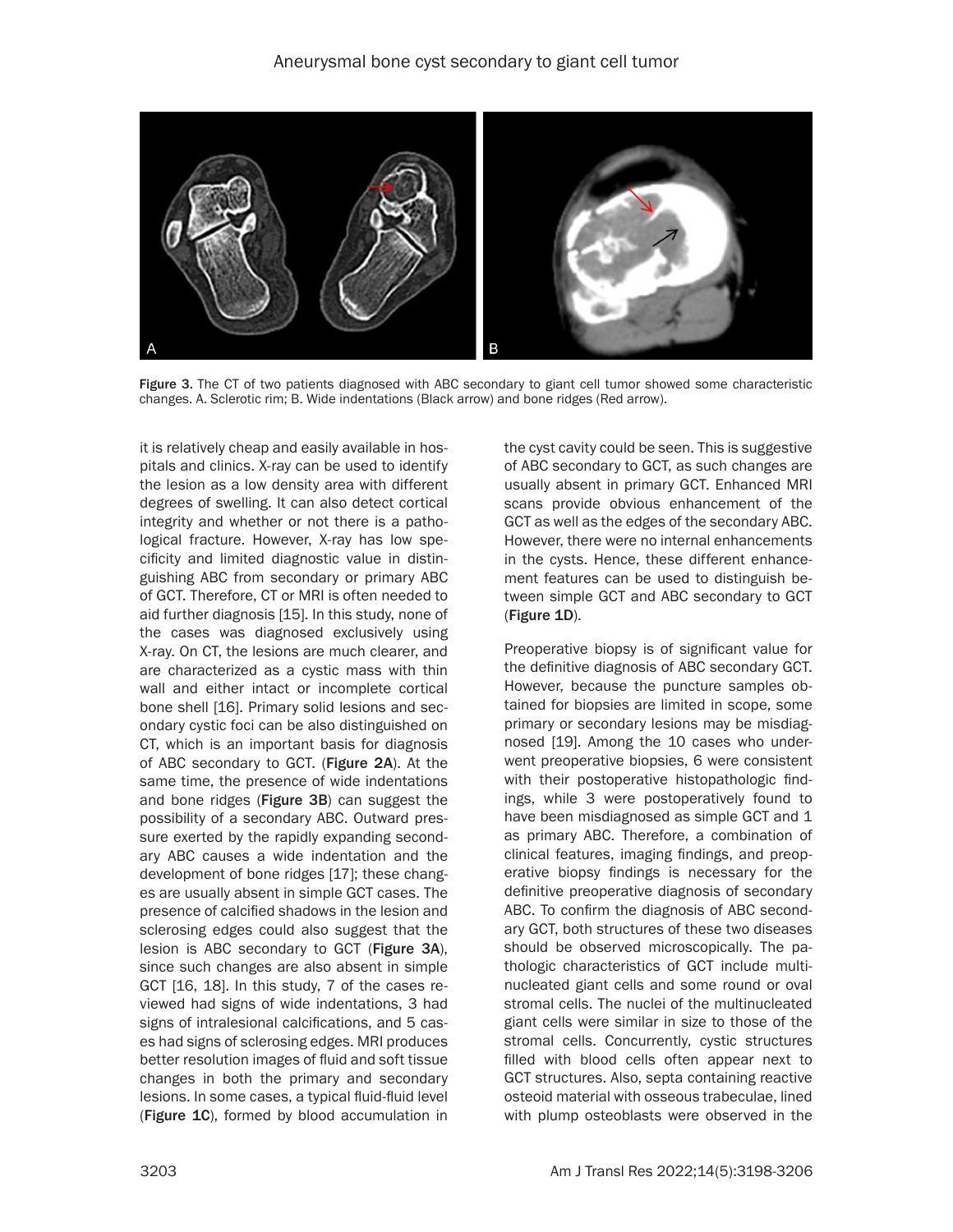

Figure 3. The CT of two patients diagnosed with ABC secondary to giant cell tumor showed some characteristic changes. A. Sclerotic rim; B. Wide indentations (Black arrow) and bone ridges (Red arrow).

it is relatively cheap and easily available in hospitals and clinics. X-ray can be used to identify the lesion as a low density area with different degrees of swelling. It can also detect cortical integrity and whether or not there is a pathological fracture. However, X-ray has low specificity and limited diagnostic value in distinguishing ABC from secondary or primary ABC of GCT. Therefore, CT or MRI is often needed to aid further diagnosis [15]. In this study, none of the cases was diagnosed exclusively using X-ray. On CT, the lesions are much clearer, and are characterized as a cystic mass with thin wall and either intact or incomplete cortical bone shell [16]. Primary solid lesions and secondary cystic foci can be also distinguished on CT, which is an important basis for diagnosis of ABC secondary to GCT. (Figure 2A). At the same time, the presence of wide indentations and bone ridges (Figure 3B) can suggest the possibility of a secondary ABC. Outward pressure exerted by the rapidly expanding secondary ABC causes a wide indentation and the development of bone ridges [17]; these changes are usually absent in simple GCT cases. The presence of calcified shadows in the lesion and sclerosing edges could also suggest that the lesion is ABC secondary to GCT (Figure 3A), since such changes are also absent in simple GCT [16, 18]. In this study, 7 of the cases reviewed had signs of wide indentations, 3 had signs of intralesional calcifications, and 5 cases had signs of sclerosing edges. MRI produces better resolution images of fluid and soft tissue changes in both the primary and secondary lesions. In some cases, a typical fluid-fluid level (Figure 1C), formed by blood accumulation in

the cyst cavity could be seen. This is suggestive of ABC secondary to GCT, as such changes are usually absent in primary GCT. Enhanced MRI scans provide obvious enhancement of the GCT as well as the edges of the secondary ABC. However, there were no internal enhancements in the cysts. Hence, these different enhancement features can be used to distinguish between simple GCT and ABC secondary to GCT (Figure 1D).

Preoperative biopsy is of significant value for the definitive diagnosis of ABC secondary GCT. However, because the puncture samples obtained for biopsies are limited in scope, some primary or secondary lesions may be misdiagnosed [19]. Among the 10 cases who underwent preoperative biopsies, 6 were consistent with their postoperative histopathologic findings, while 3 were postoperatively found to have been misdiagnosed as simple GCT and 1 as primary ABC. Therefore, a combination of clinical features, imaging findings, and preoperative biopsy findings is necessary for the definitive preoperative diagnosis of secondary ABC. To confirm the diagnosis of ABC secondary GCT, both structures of these two diseases should be observed microscopically. The pathologic characteristics of GCT include multinucleated giant cells and some round or oval stromal cells. The nuclei of the multinucleated giant cells were similar in size to those of the stromal cells. Concurrently, cystic structures filled with blood cells often appear next to GCT structures. Also, septa containing reactive osteoid material with osseous trabeculae, lined with plump osteoblasts were observed in the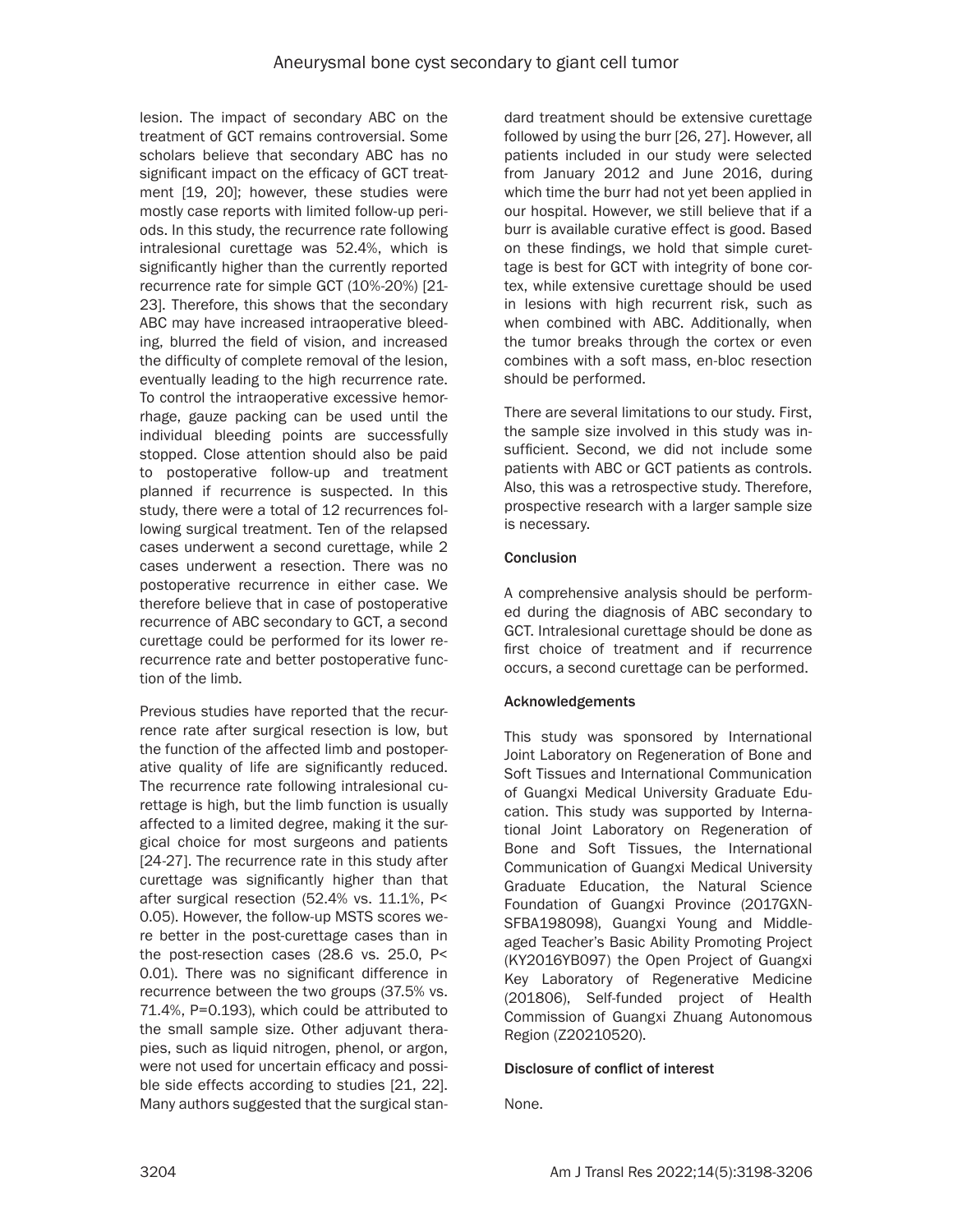lesion. The impact of secondary ABC on the treatment of GCT remains controversial. Some scholars believe that secondary ABC has no significant impact on the efficacy of GCT treatment [19, 20]; however, these studies were mostly case reports with limited follow-up periods. In this study, the recurrence rate following intralesional curettage was 52.4%, which is significantly higher than the currently reported recurrence rate for simple GCT (10%-20%) [21- 23]. Therefore, this shows that the secondary ABC may have increased intraoperative bleeding, blurred the field of vision, and increased the difficulty of complete removal of the lesion, eventually leading to the high recurrence rate. To control the intraoperative excessive hemorrhage, gauze packing can be used until the individual bleeding points are successfully stopped. Close attention should also be paid to postoperative follow-up and treatment planned if recurrence is suspected. In this study, there were a total of 12 recurrences following surgical treatment. Ten of the relapsed cases underwent a second curettage, while 2 cases underwent a resection. There was no postoperative recurrence in either case. We therefore believe that in case of postoperative recurrence of ABC secondary to GCT, a second curettage could be performed for its lower rerecurrence rate and better postoperative function of the limb.

Previous studies have reported that the recurrence rate after surgical resection is low, but the function of the affected limb and postoperative quality of life are significantly reduced. The recurrence rate following intralesional curettage is high, but the limb function is usually affected to a limited degree, making it the surgical choice for most surgeons and patients [24-27]. The recurrence rate in this study after curettage was significantly higher than that after surgical resection (52.4% vs. 11.1%, P< 0.05). However, the follow-up MSTS scores were better in the post-curettage cases than in the post-resection cases (28.6 vs. 25.0, P< 0.01). There was no significant difference in recurrence between the two groups (37.5% vs. 71.4%, P=0.193), which could be attributed to the small sample size. Other adjuvant therapies, such as liquid nitrogen, phenol, or argon, were not used for uncertain efficacy and possible side effects according to studies [21, 22]. Many authors suggested that the surgical standard treatment should be extensive curettage followed by using the burr [26, 27]. However, all patients included in our study were selected from January 2012 and June 2016, during which time the burr had not yet been applied in our hospital. However, we still believe that if a burr is available curative effect is good. Based on these findings, we hold that simple curettage is best for GCT with integrity of bone cortex, while extensive curettage should be used in lesions with high recurrent risk, such as when combined with ABC. Additionally, when the tumor breaks through the cortex or even combines with a soft mass, en-bloc resection should be performed.

There are several limitations to our study. First, the sample size involved in this study was insufficient. Second, we did not include some patients with ABC or GCT patients as controls. Also, this was a retrospective study. Therefore, prospective research with a larger sample size is necessary.

# **Conclusion**

A comprehensive analysis should be performed during the diagnosis of ABC secondary to GCT. Intralesional curettage should be done as first choice of treatment and if recurrence occurs, a second curettage can be performed.

# Acknowledgements

This study was sponsored by International Joint Laboratory on Regeneration of Bone and Soft Tissues and International Communication of Guangxi Medical University Graduate Education. This study was supported by International Joint Laboratory on Regeneration of Bone and Soft Tissues, the International Communication of Guangxi Medical University Graduate Education, the Natural Science Foundation of Guangxi Province (2017GXN-SFBA198098), Guangxi Young and Middleaged Teacher's Basic Ability Promoting Project (KY2016YB097) the Open Project of Guangxi Key Laboratory of Regenerative Medicine (201806), Self-funded project of Health Commission of Guangxi Zhuang Autonomous Region (Z20210520).

# Disclosure of conflict of interest

None.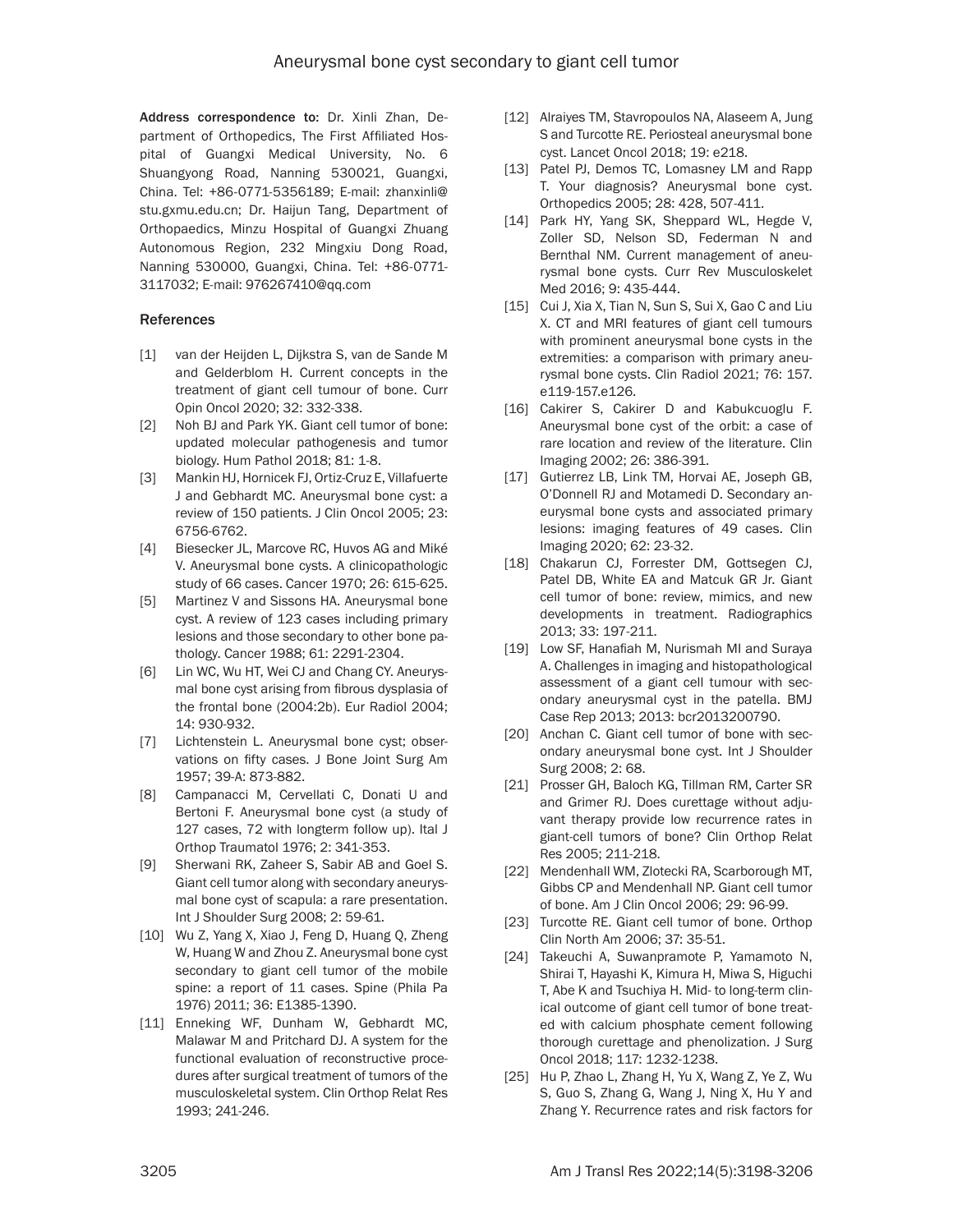Address correspondence to: Dr. Xinli Zhan, Department of Orthopedics, The First Affiliated Hospital of Guangxi Medical University, No. 6 Shuangyong Road, Nanning 530021, Guangxi, China. Tel: +86-0771-5356189; E-mail: [zhanxinli@](mailto:zhanxinli@stu.gxmu.edu.cn) [stu.gxmu.edu.cn](mailto:zhanxinli@stu.gxmu.edu.cn); Dr. Haijun Tang, Department of Orthopaedics, Minzu Hospital of Guangxi Zhuang Autonomous Region, 232 Mingxiu Dong Road, Nanning 530000, Guangxi, China. Tel: +86-0771- 3117032; E-mail: [976267410@qq.com](mailto:976267410@qq.com)

#### References

- [1] van der Heijden L, Dijkstra S, van de Sande M and Gelderblom H. Current concepts in the treatment of giant cell tumour of bone. Curr Opin Oncol 2020; 32: 332-338.
- [2] Noh BJ and Park YK. Giant cell tumor of bone: updated molecular pathogenesis and tumor biology. Hum Pathol 2018; 81: 1-8.
- [3] Mankin HJ, Hornicek FJ, Ortiz-Cruz E, Villafuerte J and Gebhardt MC. Aneurysmal bone cyst: a review of 150 patients. J Clin Oncol 2005; 23: 6756-6762.
- [4] Biesecker JL, Marcove RC, Huvos AG and Miké V. Aneurysmal bone cysts. A clinicopathologic study of 66 cases. Cancer 1970; 26: 615-625.
- [5] Martinez V and Sissons HA. Aneurysmal bone cyst. A review of 123 cases including primary lesions and those secondary to other bone pathology. Cancer 1988; 61: 2291-2304.
- [6] Lin WC, Wu HT, Wei CJ and Chang CY. Aneurysmal bone cyst arising from fibrous dysplasia of the frontal bone (2004:2b). Eur Radiol 2004; 14: 930-932.
- [7] Lichtenstein L. Aneurysmal bone cyst; observations on fifty cases. J Bone Joint Surg Am 1957; 39-A: 873-882.
- [8] Campanacci M, Cervellati C, Donati U and Bertoni F. Aneurysmal bone cyst (a study of 127 cases, 72 with longterm follow up). Ital J Orthop Traumatol 1976; 2: 341-353.
- [9] Sherwani RK, Zaheer S, Sabir AB and Goel S. Giant cell tumor along with secondary aneurysmal bone cyst of scapula: a rare presentation. Int J Shoulder Surg 2008; 2: 59-61.
- [10] Wu Z, Yang X, Xiao J, Feng D, Huang Q, Zheng W, Huang W and Zhou Z. Aneurysmal bone cyst secondary to giant cell tumor of the mobile spine: a report of 11 cases. Spine (Phila Pa 1976) 2011; 36: E1385-1390.
- [11] Enneking WF, Dunham W, Gebhardt MC, Malawar M and Pritchard DJ. A system for the functional evaluation of reconstructive procedures after surgical treatment of tumors of the musculoskeletal system. Clin Orthop Relat Res 1993; 241-246.
- [12] Alraiyes TM, Stavropoulos NA, Alaseem A, Jung S and Turcotte RE. Periosteal aneurysmal bone cyst. Lancet Oncol 2018; 19: e218.
- [13] Patel PJ, Demos TC, Lomasney LM and Rapp T. Your diagnosis? Aneurysmal bone cyst. Orthopedics 2005; 28: 428, 507-411.
- [14] Park HY, Yang SK, Sheppard WL, Hegde V, Zoller SD, Nelson SD, Federman N and Bernthal NM. Current management of aneurysmal bone cysts. Curr Rev Musculoskelet Med 2016; 9: 435-444.
- [15] Cui J, Xia X, Tian N, Sun S, Sui X, Gao C and Liu X. CT and MRI features of giant cell tumours with prominent aneurysmal bone cysts in the extremities: a comparison with primary aneurysmal bone cysts. Clin Radiol 2021; 76: 157. e119-157.e126.
- [16] Cakirer S, Cakirer D and Kabukcuoglu F. Aneurysmal bone cyst of the orbit: a case of rare location and review of the literature. Clin Imaging 2002; 26: 386-391.
- [17] Gutierrez LB, Link TM, Horvai AE, Joseph GB, O'Donnell RJ and Motamedi D. Secondary aneurysmal bone cysts and associated primary lesions: imaging features of 49 cases. Clin Imaging 2020; 62: 23-32.
- [18] Chakarun CJ, Forrester DM, Gottsegen CJ, Patel DB, White EA and Matcuk GR Jr. Giant cell tumor of bone: review, mimics, and new developments in treatment. Radiographics 2013; 33: 197-211.
- [19] Low SF, Hanafiah M, Nurismah MI and Suraya A. Challenges in imaging and histopathological assessment of a giant cell tumour with secondary aneurysmal cyst in the patella. BMJ Case Rep 2013; 2013: bcr2013200790.
- [20] Anchan C. Giant cell tumor of bone with secondary aneurysmal bone cyst. Int J Shoulder Surg 2008; 2: 68.
- [21] Prosser GH, Baloch KG, Tillman RM, Carter SR and Grimer RJ. Does curettage without adjuvant therapy provide low recurrence rates in giant-cell tumors of bone? Clin Orthop Relat Res 2005; 211-218.
- [22] Mendenhall WM, Zlotecki RA, Scarborough MT, Gibbs CP and Mendenhall NP. Giant cell tumor of bone. Am J Clin Oncol 2006; 29: 96-99.
- [23] Turcotte RE. Giant cell tumor of bone. Orthop Clin North Am 2006; 37: 35-51.
- [24] Takeuchi A, Suwanpramote P, Yamamoto N, Shirai T, Hayashi K, Kimura H, Miwa S, Higuchi T, Abe K and Tsuchiya H. Mid- to long-term clinical outcome of giant cell tumor of bone treated with calcium phosphate cement following thorough curettage and phenolization. J Surg Oncol 2018; 117: 1232-1238.
- [25] Hu P, Zhao L, Zhang H, Yu X, Wang Z, Ye Z, Wu S, Guo S, Zhang G, Wang J, Ning X, Hu Y and Zhang Y. Recurrence rates and risk factors for